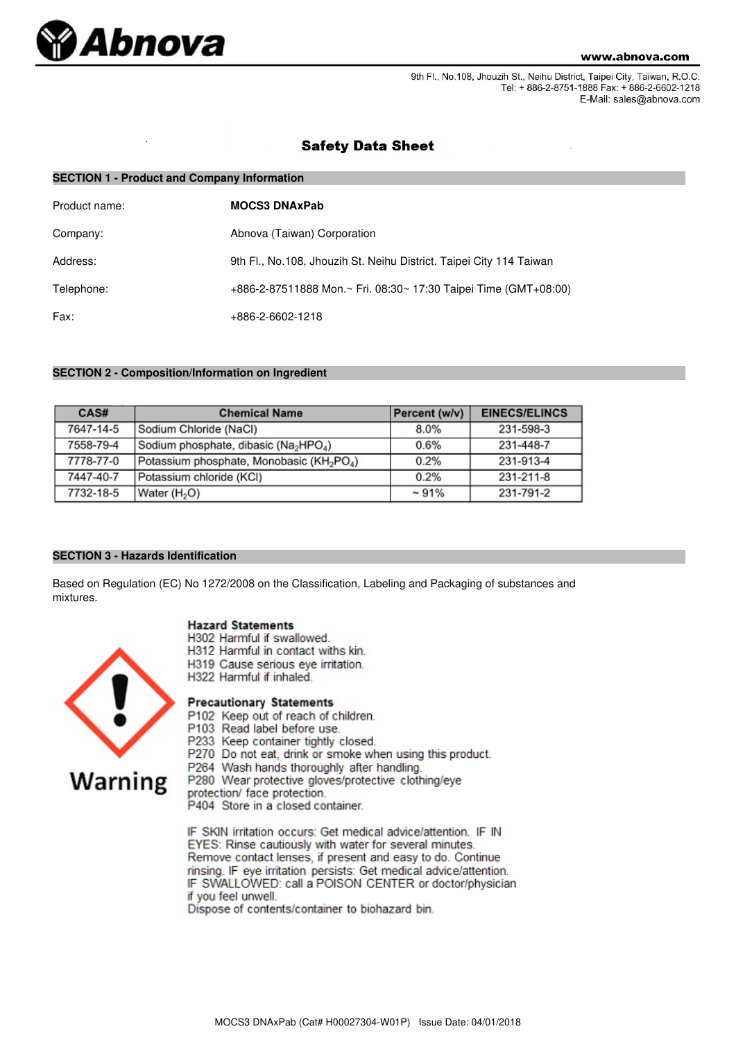

9th Fl., No.108, Jhouzih St., Neihu District, Taipei City, Taiwan, R.O.C. Tel: + 886-2-8751-1888 Fax: + 886-2-6602-1218 E-Mail: sales@abnova.com

## **Safety Data Sheet**

| <b>SECTION 1 - Product and Company Information</b> |                                                                     |  |  |
|----------------------------------------------------|---------------------------------------------------------------------|--|--|
| Product name:                                      | <b>MOCS3 DNAxPab</b>                                                |  |  |
| Company:                                           | Abnova (Taiwan) Corporation                                         |  |  |
| Address:                                           | 9th Fl., No.108, Jhouzih St. Neihu District. Taipei City 114 Taiwan |  |  |
| Telephone:                                         | +886-2-87511888 Mon.~ Fri. 08:30~ 17:30 Taipei Time (GMT+08:00)     |  |  |
| Fax:                                               | +886-2-6602-1218                                                    |  |  |

## **SECTION 2 - Composition/Information on Ingredient**

| CAS#      | <b>Chemical Name</b>                                              | Percent (w/v) | <b>EINECS/ELINCS</b> |
|-----------|-------------------------------------------------------------------|---------------|----------------------|
| 7647-14-5 | Sodium Chloride (NaCl)                                            | 8.0%          | 231-598-3            |
| 7558-79-4 | Sodium phosphate, dibasic (Na <sub>2</sub> HPO <sub>4</sub> )     | 0.6%          | 231-448-7            |
| 7778-77-0 | Potassium phosphate, Monobasic (KH <sub>2</sub> PO <sub>4</sub> ) | 0.2%          | 231-913-4            |
| 7447-40-7 | Potassium chloride (KCI)                                          | 0.2%          | 231-211-8            |
| 7732-18-5 | Water (H <sub>2</sub> O)                                          | $~1\%$        | 231-791-2            |

## **SECTION 3 - Hazards Identification**

Based on Regulation (EC) No 1272/2008 on the Classification, Labeling and Packaging of substances and mixtures.

## **Hazard Statements**

- H302 Harmful if swallowed.
- H312 Harmful in contact withs kin.
- H319 Cause serious eye irritation.
- H322 Harmful if inhaled.

# **Precautionary Statements**

- P102 Keep out of reach of children.
- P103 Read label before use.
- P233 Keep container tightly closed.
- P270 Do not eat, drink or smoke when using this product.
- P264 Wash hands thoroughly after handling.

P280 Wear protective gloves/protective clothing/eye

- protection/ face protection.
- P404 Store in a closed container.

IF SKIN irritation occurs: Get medical advice/attention. IF IN EYES: Rinse cautiously with water for several minutes. Remove contact lenses, if present and easy to do. Continue rinsing. IF eye irritation persists: Get medical advice/attention. IF SWALLOWED: call a POISON CENTER or doctor/physician if you feel unwell.

Dispose of contents/container to biohazard bin.

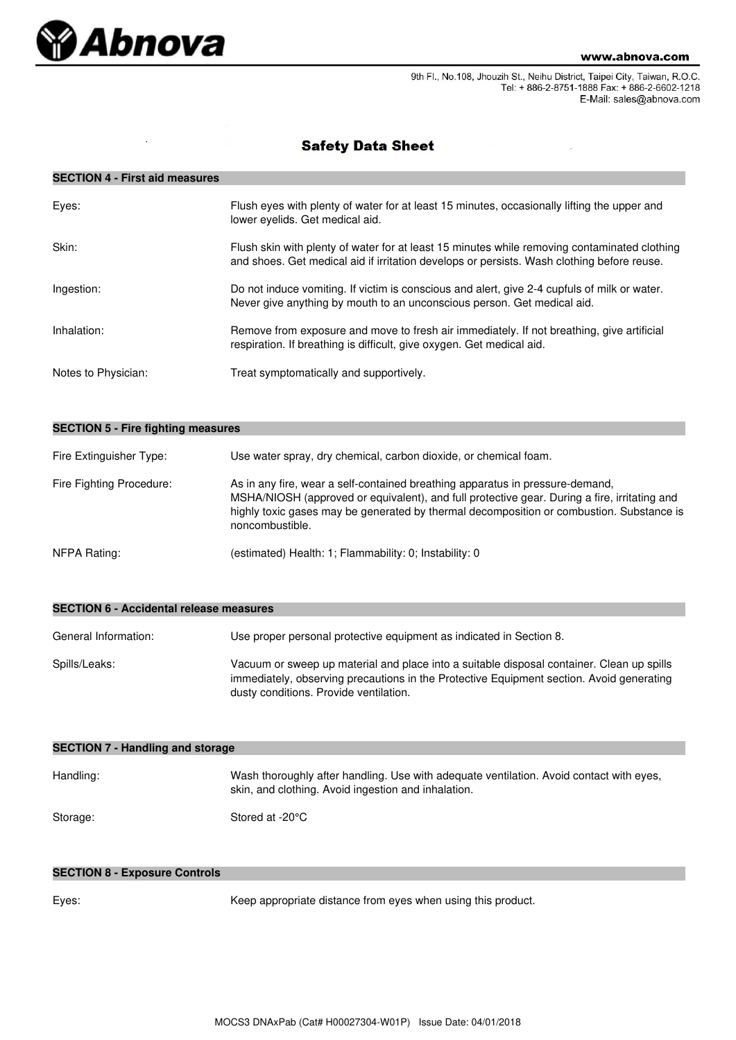

9th Fl., No.108, Jhouzih St., Neihu District, Taipei City, Taiwan, R.O.C. Tel: + 886-2-8751-1888 Fax: + 886-2-6602-1218 E-Mail: sales@abnova.com

# **Safety Data Sheet**

## **SECTION 4 - First aid measures**

| Eyes:               | Flush eyes with plenty of water for at least 15 minutes, occasionally lifting the upper and<br>lower eyelids. Get medical aid.                                                             |
|---------------------|--------------------------------------------------------------------------------------------------------------------------------------------------------------------------------------------|
| Skin:               | Flush skin with plenty of water for at least 15 minutes while removing contaminated clothing<br>and shoes. Get medical aid if irritation develops or persists. Wash clothing before reuse. |
| Ingestion:          | Do not induce vomiting. If victim is conscious and alert, give 2-4 cupfuls of milk or water.<br>Never give anything by mouth to an unconscious person. Get medical aid.                    |
| Inhalation:         | Remove from exposure and move to fresh air immediately. If not breathing, give artificial<br>respiration. If breathing is difficult, give oxygen. Get medical aid.                         |
| Notes to Physician: | Treat symptomatically and supportively.                                                                                                                                                    |

| <b>SECTION 5 - Fire fighting measures</b> |                                                                                                                                                                                                                                                                                              |  |  |
|-------------------------------------------|----------------------------------------------------------------------------------------------------------------------------------------------------------------------------------------------------------------------------------------------------------------------------------------------|--|--|
| Fire Extinguisher Type:                   | Use water spray, dry chemical, carbon dioxide, or chemical foam.                                                                                                                                                                                                                             |  |  |
| Fire Fighting Procedure:                  | As in any fire, wear a self-contained breathing apparatus in pressure-demand,<br>MSHA/NIOSH (approved or equivalent), and full protective gear. During a fire, irritating and<br>highly toxic gases may be generated by thermal decomposition or combustion. Substance is<br>noncombustible. |  |  |
| NFPA Rating:                              | (estimated) Health: 1; Flammability: 0; Instability: 0                                                                                                                                                                                                                                       |  |  |

| <b>SECTION 6 - Accidental release measures</b> |                                                                                                                                                                                                                                 |  |  |
|------------------------------------------------|---------------------------------------------------------------------------------------------------------------------------------------------------------------------------------------------------------------------------------|--|--|
| General Information:                           | Use proper personal protective equipment as indicated in Section 8.                                                                                                                                                             |  |  |
| Spills/Leaks:                                  | Vacuum or sweep up material and place into a suitable disposal container. Clean up spills<br>immediately, observing precautions in the Protective Equipment section. Avoid generating<br>dusty conditions. Provide ventilation. |  |  |

| <b>SECTION 7 - Handling and storage</b> |                                                                                                                                                |  |  |
|-----------------------------------------|------------------------------------------------------------------------------------------------------------------------------------------------|--|--|
| Handling:                               | Wash thoroughly after handling. Use with adequate ventilation. Avoid contact with eyes,<br>skin, and clothing. Avoid ingestion and inhalation. |  |  |
| Storage:                                | Stored at -20°C                                                                                                                                |  |  |

## **SECTION 8 - Exposure Controls**

Eyes: Keep appropriate distance from eyes when using this product.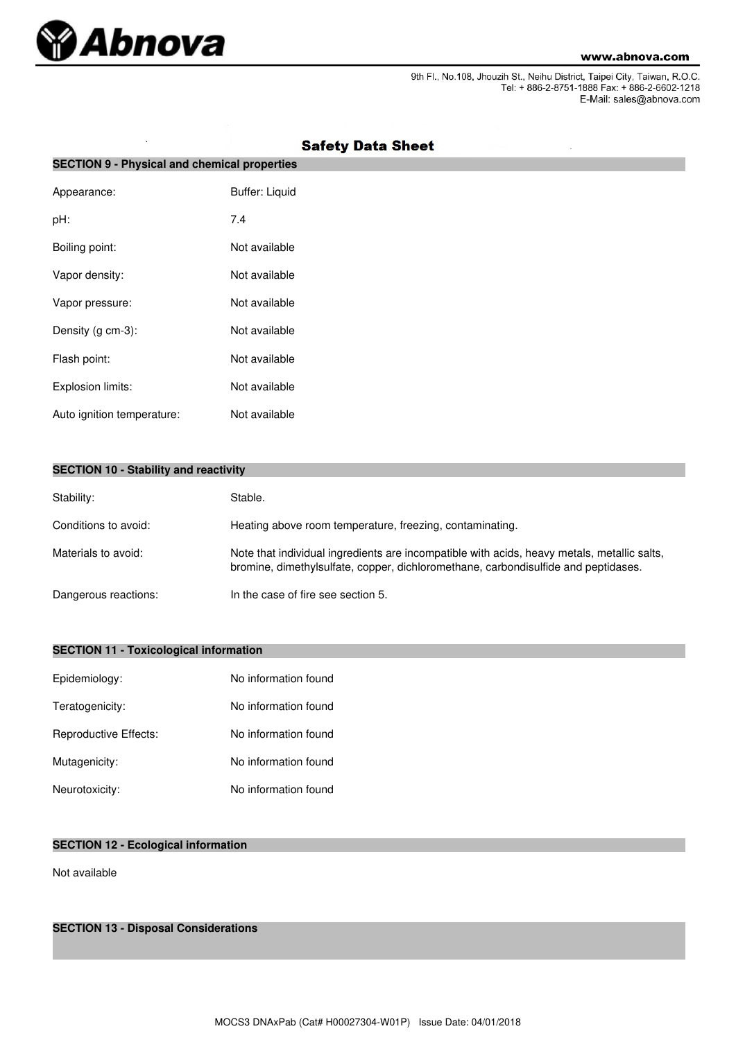

J.

9th Fl., No.108, Jhouzih St., Neihu District, Taipei City, Taiwan, R.O.C.<br>Tel: + 886-2-8751-1888 Fax: + 886-2-6602-1218 E-Mail: sales@abnova.com

| <b>SECTION 9 - Physical and chemical properties</b> |                       |  |  |
|-----------------------------------------------------|-----------------------|--|--|
| Appearance:                                         | <b>Buffer: Liquid</b> |  |  |
| pH:                                                 | 7.4                   |  |  |
| Boiling point:                                      | Not available         |  |  |
| Vapor density:                                      | Not available         |  |  |
| Vapor pressure:                                     | Not available         |  |  |
| Density (g cm-3):                                   | Not available         |  |  |
| Flash point:                                        | Not available         |  |  |
| Explosion limits:                                   | Not available         |  |  |
| Auto ignition temperature:                          | Not available         |  |  |

# **Safety Data Sheet**

|  |  |  |  | <b>SECTION 10 - Stability and reactivity</b> |
|--|--|--|--|----------------------------------------------|
|--|--|--|--|----------------------------------------------|

| Stability:           | Stable.                                                                                                                                                                           |
|----------------------|-----------------------------------------------------------------------------------------------------------------------------------------------------------------------------------|
| Conditions to avoid: | Heating above room temperature, freezing, contaminating.                                                                                                                          |
| Materials to avoid:  | Note that individual ingredients are incompatible with acids, heavy metals, metallic salts,<br>bromine, dimethylsulfate, copper, dichloromethane, carbondisulfide and peptidases. |
| Dangerous reactions: | In the case of fire see section 5.                                                                                                                                                |

## **SECTION 11 - Toxicological information**

| Epidemiology:         | No information found |
|-----------------------|----------------------|
| Teratogenicity:       | No information found |
| Reproductive Effects: | No information found |
| Mutagenicity:         | No information found |
| Neurotoxicity:        | No information found |

## **SECTION 12 - Ecological information**

Not available

**SECTION 13 - Disposal Considerations**